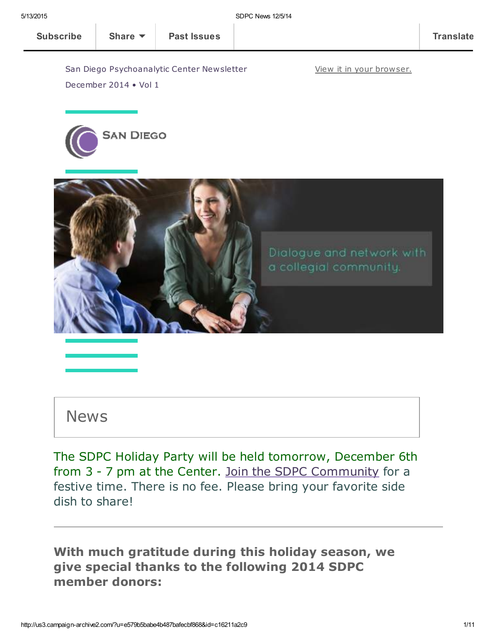View it in your [browser.](http://us3.campaign-archive2.com/?u=e579b5babe4b487bafecbf868&id=c16211a2c9&e=[UNIQID])

[Subscribe](http://eepurl.com/RPzu9) Share ▼ | Past [Issues](http://us3.campaign-archive2.com/home/?u=e579b5babe4b487bafecbf868&id=3cb469b61c) | Translate

San Diego Psychoanalytic Center Newsletter December 2014 • Vol 1





## News

The SDPC Holiday Party will be held tomorrow, December 6th from 3 - 7 pm at the Center. Join the SDPC [Community](http://www.sdpsychoanalyticcenter.org/join-sdpc) for a festive time. There is no fee. Please bring your favorite side dish to share!

With much gratitude during this holiday season, we give special thanks to the following 2014 SDPC member donors: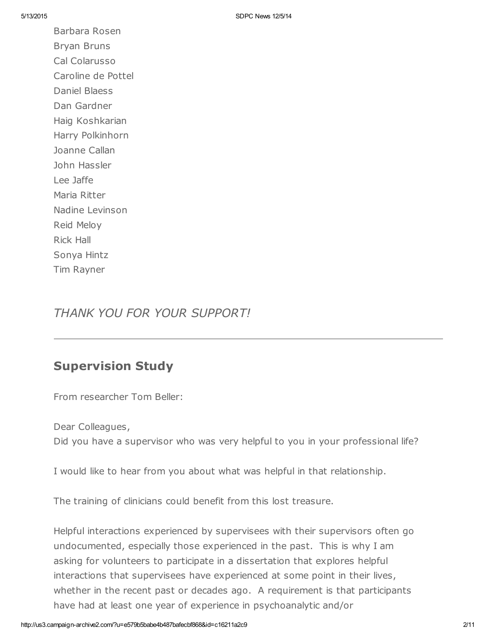Barbara Rosen Bryan Bruns Cal Colarusso Caroline de Pottel Daniel Blaess Dan Gardner Haig Koshkarian Harry Polkinhorn Joanne Callan John Hassler Lee Jaffe Maria Ritter Nadine Levinson Reid Meloy Rick Hall Sonya Hintz Tim Rayner

## THANK YOU FOR YOUR SUPPORT!

### Supervision Study

From researcher Tom Beller:

Dear Colleagues, Did you have a supervisor who was very helpful to you in your professional life?

I would like to hear from you about what was helpful in that relationship.

The training of clinicians could benefit from this lost treasure.

Helpful interactions experienced by supervisees with their supervisors often go undocumented, especially those experienced in the past. This is why I am asking for volunteers to participate in a dissertation that explores helpful interactions that supervisees have experienced at some point in their lives, whether in the recent past or decades ago. A requirement is that participants have had at least one year of experience in psychoanalytic and/or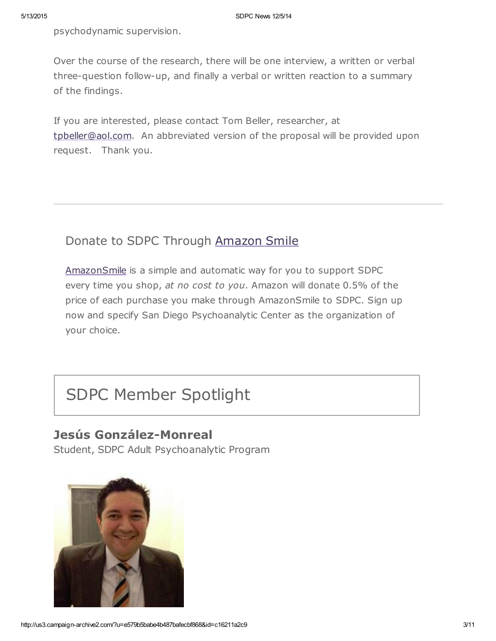psychodynamic supervision.

Over the course of the research, there will be one interview, a written or verbal three-question follow-up, and finally a verbal or written reaction to a summary of the findings.

If you are interested, please contact Tom Beller, researcher, at [tpbeller@aol.com.](mailto:tpbeller@aol.com?subject=Supervision%20study) An abbreviated version of the proposal will be provided upon request. Thank you.

## Donate to SDPC Through [Amazon](http://www.sdpsychoanalyticcenter.org/node/395#overlay-context=node/395) Smile

[AmazonSmile](http://smile.amazon.com/about) is a simple and automatic way for you to support SDPC every time you shop, at no cost to you. Amazon will donate 0.5% of the price of each purchase you make through AmazonSmile to SDPC. Sign up now and specify San Diego Psychoanalytic Center as the organization of your choice.

# SDPC Member Spotlight

## Jesús González-Monreal

Student, SDPC Adult Psychoanalytic Program

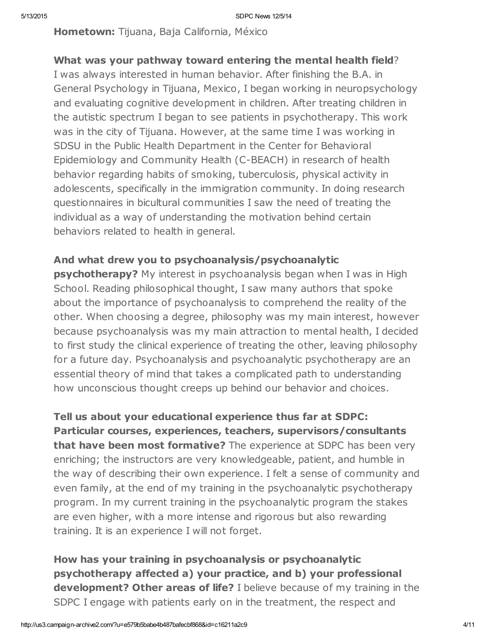Hometown: Tijuana, Baja California, México

### What was your pathway toward entering the mental health field?

I was always interested in human behavior. After finishing the B.A. in General Psychology in Tijuana, Mexico, I began working in neuropsychology and evaluating cognitive development in children. After treating children in the autistic spectrum I began to see patients in psychotherapy. This work was in the city of Tijuana. However, at the same time I was working in SDSU in the Public Health Department in the Center for Behavioral Epidemiology and Community Health (C-BEACH) in research of health behavior regarding habits of smoking, tuberculosis, physical activity in adolescents, specifically in the immigration community. In doing research questionnaires in bicultural communities I saw the need of treating the individual as a way of understanding the motivation behind certain behaviors related to health in general.

### And what drew you to psychoanalysis/psychoanalytic

**psychotherapy?** My interest in psychoanalysis began when I was in High School. Reading philosophical thought, I saw many authors that spoke about the importance of psychoanalysis to comprehend the reality of the other. When choosing a degree, philosophy was my main interest, however because psychoanalysis was my main attraction to mental health, I decided to first study the clinical experience of treating the other, leaving philosophy for a future day. Psychoanalysis and psychoanalytic psychotherapy are an essential theory of mind that takes a complicated path to understanding how unconscious thought creeps up behind our behavior and choices.

Tell us about your educational experience thus far at SDPC: Particular courses, experiences, teachers, supervisors/consultants that have been most formative? The experience at SDPC has been very enriching; the instructors are very knowledgeable, patient, and humble in the way of describing their own experience. I felt a sense of community and even family, at the end of my training in the psychoanalytic psychotherapy program. In my current training in the psychoanalytic program the stakes are even higher, with a more intense and rigorous but also rewarding training. It is an experience I will not forget.

How has your training in psychoanalysis or psychoanalytic psychotherapy affected a) your practice, and b) your professional development? Other areas of life? I believe because of my training in the SDPC I engage with patients early on in the treatment, the respect and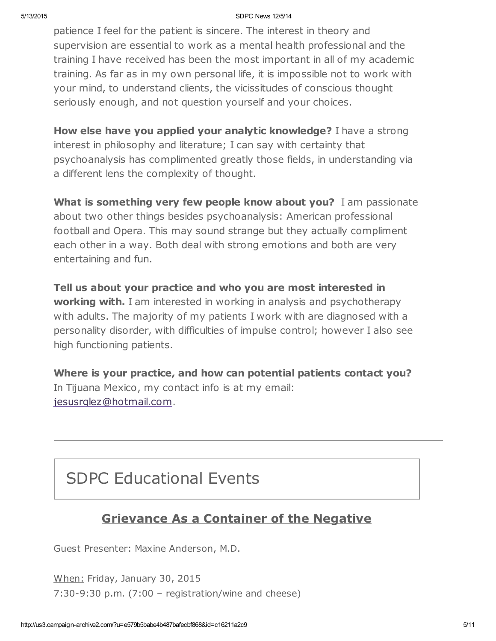#### 5/13/2015 SDPC News 12/5/14

patience I feel for the patient is sincere. The interest in theory and supervision are essential to work as a mental health professional and the training I have received has been the most important in all of my academic training. As far as in my own personal life, it is impossible not to work with your mind, to understand clients, the vicissitudes of conscious thought seriously enough, and not question yourself and your choices.

How else have you applied your analytic knowledge? I have a strong interest in philosophy and literature; I can say with certainty that psychoanalysis has complimented greatly those fields, in understanding via a different lens the complexity of thought.

What is something very few people know about you? I am passionate about two other things besides psychoanalysis: American professional football and Opera. This may sound strange but they actually compliment each other in a way. Both deal with strong emotions and both are very entertaining and fun.

Tell us about your practice and who you are most interested in **working with.** I am interested in working in analysis and psychotherapy with adults. The majority of my patients I work with are diagnosed with a personality disorder, with difficulties of impulse control; however I also see high functioning patients.

Where is your practice, and how can potential patients contact you? In Tijuana Mexico, my contact info is at my email: [jesusrglez@hotmail.com.](mailto:jesusrglez@hotmail.com)

## SDPC Educational Events

## Grievance As a Container of the Negative

Guest Presenter: Maxine Anderson, M.D.

When: Friday, January 30, 2015 7:30-9:30 p.m. (7:00 – registration/wine and cheese)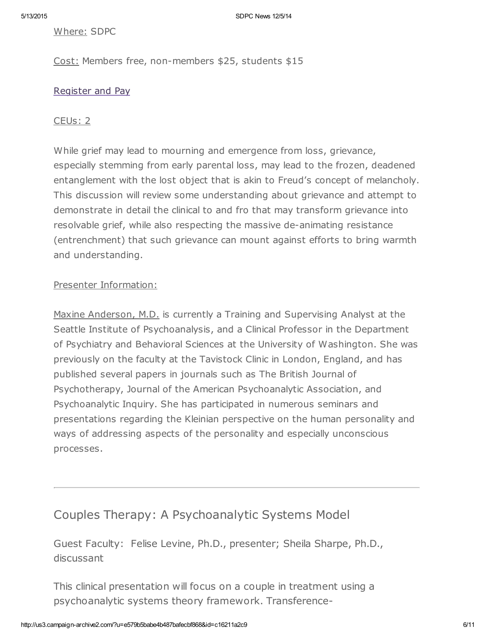Where: SDPC

Cost: Members free, non-members \$25, students \$15

#### [Register](http://www.sdpsychoanalyticcenter.org/register-and-pay-online) and Pay

#### CEUs: 2

While grief may lead to mourning and emergence from loss, grievance, especially stemming from early parental loss, may lead to the frozen, deadened entanglement with the lost object that is akin to Freud's concept of melancholy. This discussion will review some understanding about grievance and attempt to demonstrate in detail the clinical to and fro that may transform grievance into resolvable grief, while also respecting the massive de-animating resistance (entrenchment) that such grievance can mount against efforts to bring warmth and understanding.

#### Presenter Information:

Maxine Anderson, M.D. is currently a Training and Supervising Analyst at the Seattle Institute of Psychoanalysis, and a Clinical Professor in the Department of Psychiatry and Behavioral Sciences at the University of Washington. She was previously on the faculty at the Tavistock Clinic in London, England, and has published several papers in journals such as The British Journal of Psychotherapy, Journal of the American Psychoanalytic Association, and Psychoanalytic Inquiry. She has participated in numerous seminars and presentations regarding the Kleinian perspective on the human personality and ways of addressing aspects of the personality and especially unconscious processes.

### Couples Therapy: A Psychoanalytic Systems Model

Guest Faculty: Felise Levine, Ph.D., presenter; Sheila Sharpe, Ph.D., discussant

This clinical presentation will focus on a couple in treatment using a psychoanalytic systems theory framework. Transference-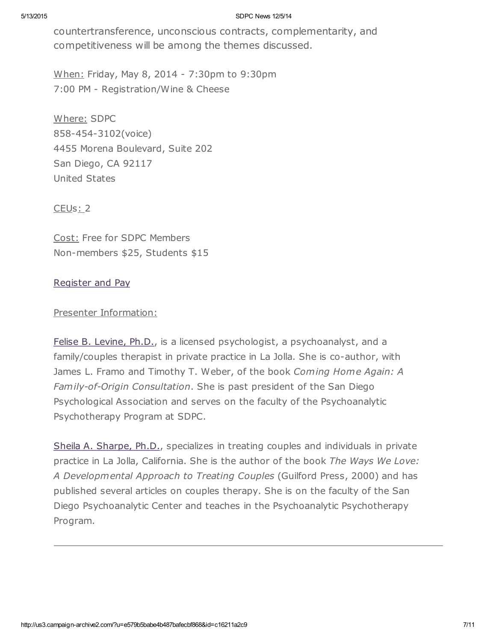#### 5/13/2015 SDPC News 12/5/14

countertransference, unconscious contracts, complementarity, and competitiveness will be among the themes discussed.

When: Friday, May 8, 2014 - 7:30pm to 9:30pm 7:00 PM - Registration/Wine & Cheese

Where: SDPC 858-454-3102(voice) 4455 Morena Boulevard, Suite 202 San Diego, CA 92117 United States

CEU<sub>s</sub>: 2

Cost: Free for SDPC Members Non-members \$25, Students \$15

#### [Register](http://www.sdpsychoanalyticcenter.org/register-and-pay-online) and Pay

#### Presenter Information:

Felise B. [Levine,](http://www.sdpsychoanalyticcenter.org/members/profiles/82#profile-main) Ph.D., is a licensed psychologist, a psychoanalyst, and a family/couples therapist in private practice in La Jolla. She is co-author, with James L. Framo and Timothy T. Weber, of the book Coming Home Again: A Family-of-Origin Consultation. She is past president of the San Diego Psychological Association and serves on the faculty of the Psychoanalytic Psychotherapy Program at SDPC.

Sheila A. [Sharpe,](http://www.sdpsychoanalyticcenter.org/members/profiles/103#profile-main) Ph.D., specializes in treating couples and individuals in private practice in La Jolla, California. She is the author of the book The Ways We Love: A Developmental Approach to Treating Couples (Guilford Press, 2000) and has published several articles on couples therapy. She is on the faculty of the San Diego Psychoanalytic Center and teaches in the Psychoanalytic Psychotherapy Program.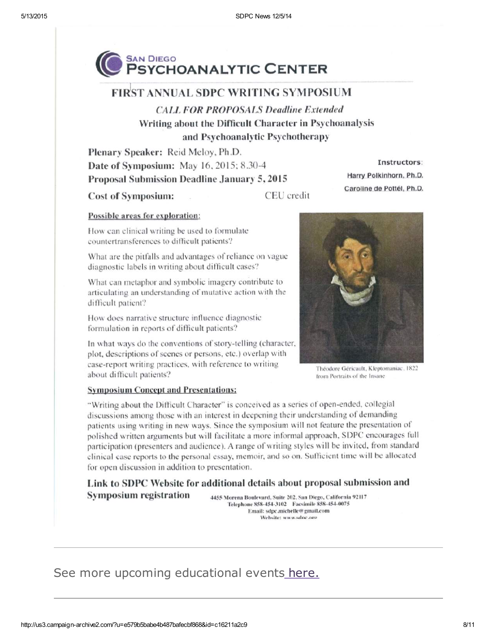

### **FIRST ANNUAL SDPC WRITING SYMPOSIUM**

**CALL FOR PROPOSALS Deadline Extended** Writing about the Difficult Character in Psychoanalysis and Psychoanalytic Psychotherapy

Plenary Speaker: Reid Meloy, Ph.D. Date of Symposium: May 16, 2015; 8.30-4 Proposal Submission Deadline January 5, 2015

**Cost of Symposium:** 

CEU credit

#### Possible areas for exploration:

How can clinical writing be used to formulate countertransferences to difficult patients?

What are the pitfalls and advantages of reliance on vague diagnostic labels in writing about difficult cases?

What can metaphor and symbolic imagery contribute to articulating an understanding of mutative action with the difficult patient?

How does narrative structure influence diagnostic formulation in reports of difficult patients?

In what ways do the conventions of story-telling (character, plot, descriptions of scenes or persons, etc.) overlap with case-report writing practices, with reference to writing about difficult patients?

Instructors:

Harry Polkinhorn, Ph.D.

Caroline de Pottél, Ph.D.

Théodore Géricault, Kleptomaniac, 1822 from Portraits of the Insane

#### **Symposium Concept and Presentations:**

"Writing about the Difficult Character" is conceived as a series of open-ended, collegial discussions among those with an interest in deepening their understanding of demanding patients using writing in new ways. Since the symposium will not feature the presentation of polished written arguments but will facilitate a more informal approach, SDPC encourages full participation (presenters and audience). A range of writing styles will be invited, from standard clinical case reports to the personal essay, memoir, and so on. Sufficient time will be allocated for open discussion in addition to presentation.

Link to SDPC Website for additional details about proposal submission and **Symposium registration** 4455 Morena Boulevard, Suite 202, San Diego, California 92117

Telephone 858-454-3102 Facsimile 858-454-0075 Email: sdpc.michelle@gmail.com Website: www.sdnc.oro

## See more upcoming educational events [here.](http://www.sdpsychoanalyticcenter.org/community-connections/upcoming-events)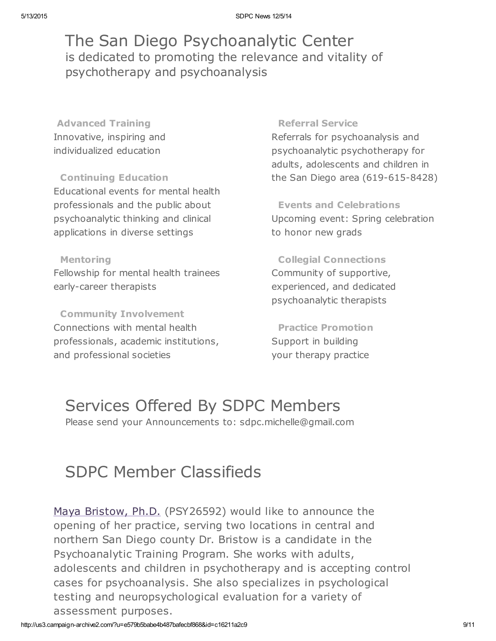The San Diego Psychoanalytic Center is dedicated to promoting the relevance and vitality of psychotherapy and psychoanalysis

Advanced Training Innovative, inspiring and individualized education

Continuing Education Educational events for mental health professionals and the public about psychoanalytic thinking and clinical applications in diverse settings

Mentoring Fellowship for mental health trainees early-career therapists

Community Involvement Connections with mental health professionals, academic institutions, and professional societies

#### Referral Service

Referrals for psychoanalysis and psychoanalytic psychotherapy for adults, adolescents and children in the San Diego area (619-615-8428)

Events and Celebrations Upcoming event: Spring celebration to honor new grads

Collegial Connections Community of supportive, experienced, and dedicated psychoanalytic therapists

Practice Promotion Support in building your therapy practice

## Services Offered By SDPC Members

Please send your Announcements to: sdpc.michelle@gmail.com

# SDPC Member Classifieds

Maya [Bristow,](http://www.sdpsychoanalyticcenter.org/members/profiles/121#profile-main) Ph.D. (PSY26592) would like to announce the opening of her practice, serving two locations in central and northern San Diego county Dr. Bristow is a candidate in the Psychoanalytic Training Program. She works with adults, adolescents and children in psychotherapy and is accepting control cases for psychoanalysis. She also specializes in psychological testing and neuropsychological evaluation for a variety of assessment purposes.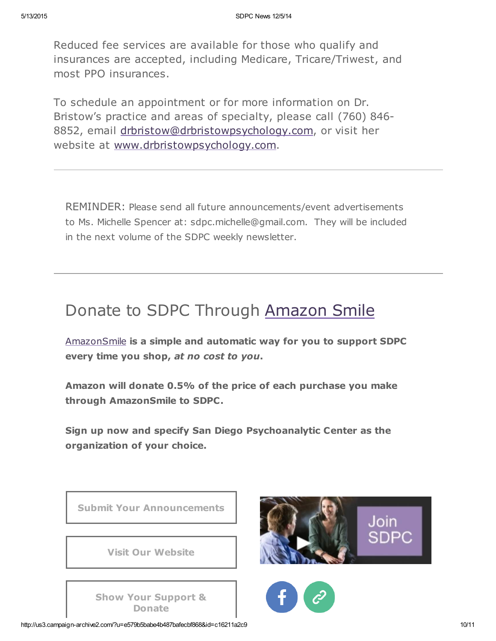Reduced fee services are available for those who qualify and insurances are accepted, including Medicare, Tricare/Triwest, and most PPO insurances.

To schedule an appointment or for more information on Dr. Bristow's practice and areas of specialty, please call (760) 846- 8852, email [drbristow@drbristowpsychology.com,](mailto:drbristow@drbristowpsychology.com) or visit her website at [www.drbristowpsychology.com.](http://www.drbristowpsychology.com/)

REMINDER: Please send all future announcements/event advertisements to Ms. Michelle Spencer at: sdpc.michelle@gmail.com. They will be included in the next volume of the SDPC weekly newsletter.

## Donate to SDPC Through [Amazon](http://www.sdpsychoanalyticcenter.org/node/395#overlay-context=node/395) Smile

[AmazonSmile](http://smile.amazon.com/about) is a simple and automatic way for you to support SDPC every time you shop, at no cost to you.

Amazon will donate 0.5% of the price of each purchase you make through AmazonSmile to SDPC.

Sign up now and specify San Diego Psychoanalytic Center as the organization of your choice.



http://us3.campaign-archive2.com/?u=e579b5babe4b487bafecbf868&id=c16211a2c9 10/11